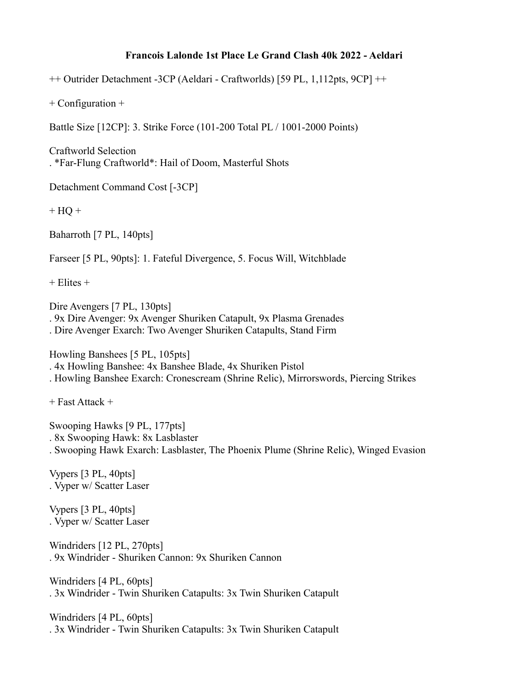## **Francois Lalonde 1st Place Le Grand Clash 40k 2022 - Aeldari**

++ Outrider Detachment -3CP (Aeldari - Craftworlds) [59 PL, 1,112pts, 9CP] ++

+ Configuration +

Battle Size [12CP]: 3. Strike Force (101-200 Total PL / 1001-2000 Points)

Craftworld Selection . \*Far-Flung Craftworld\*: Hail of Doom, Masterful Shots

Detachment Command Cost [-3CP]

 $+$  HQ  $+$ 

Baharroth [7 PL, 140pts]

Farseer [5 PL, 90pts]: 1. Fateful Divergence, 5. Focus Will, Witchblade

 $+$  Elites  $+$ 

Dire Avengers [7 PL, 130pts] . 9x Dire Avenger: 9x Avenger Shuriken Catapult, 9x Plasma Grenades . Dire Avenger Exarch: Two Avenger Shuriken Catapults, Stand Firm

Howling Banshees [5 PL, 105pts] . 4x Howling Banshee: 4x Banshee Blade, 4x Shuriken Pistol . Howling Banshee Exarch: Cronescream (Shrine Relic), Mirrorswords, Piercing Strikes

+ Fast Attack +

Swooping Hawks [9 PL, 177pts] . 8x Swooping Hawk: 8x Lasblaster . Swooping Hawk Exarch: Lasblaster, The Phoenix Plume (Shrine Relic), Winged Evasion

Vypers [3 PL, 40pts] . Vyper w/ Scatter Laser

Vypers [3 PL, 40pts] . Vyper w/ Scatter Laser

Windriders [12 PL, 270pts] . 9x Windrider - Shuriken Cannon: 9x Shuriken Cannon

Windriders [4 PL, 60pts] . 3x Windrider - Twin Shuriken Catapults: 3x Twin Shuriken Catapult

Windriders [4 PL, 60pts] . 3x Windrider - Twin Shuriken Catapults: 3x Twin Shuriken Catapult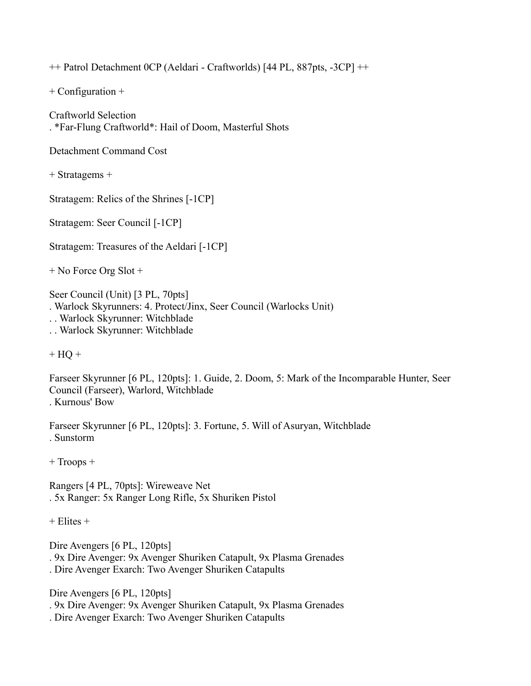++ Patrol Detachment 0CP (Aeldari - Craftworlds) [44 PL, 887pts, -3CP] ++

+ Configuration +

Craftworld Selection . \*Far-Flung Craftworld\*: Hail of Doom, Masterful Shots

Detachment Command Cost

+ Stratagems +

Stratagem: Relics of the Shrines [-1CP]

Stratagem: Seer Council [-1CP]

Stratagem: Treasures of the Aeldari [-1CP]

+ No Force Org Slot +

Seer Council (Unit) [3 PL, 70pts]

. Warlock Skyrunners: 4. Protect/Jinx, Seer Council (Warlocks Unit)

. . Warlock Skyrunner: Witchblade

. . Warlock Skyrunner: Witchblade

 $+$  HQ  $+$ 

Farseer Skyrunner [6 PL, 120pts]: 1. Guide, 2. Doom, 5: Mark of the Incomparable Hunter, Seer Council (Farseer), Warlord, Witchblade . Kurnous' Bow

Farseer Skyrunner [6 PL, 120pts]: 3. Fortune, 5. Will of Asuryan, Witchblade . Sunstorm

+ Troops +

Rangers [4 PL, 70pts]: Wireweave Net . 5x Ranger: 5x Ranger Long Rifle, 5x Shuriken Pistol

 $+$  Elites  $+$ 

Dire Avengers [6 PL, 120pts]

. 9x Dire Avenger: 9x Avenger Shuriken Catapult, 9x Plasma Grenades

. Dire Avenger Exarch: Two Avenger Shuriken Catapults

Dire Avengers [6 PL, 120pts]

. 9x Dire Avenger: 9x Avenger Shuriken Catapult, 9x Plasma Grenades

. Dire Avenger Exarch: Two Avenger Shuriken Catapults